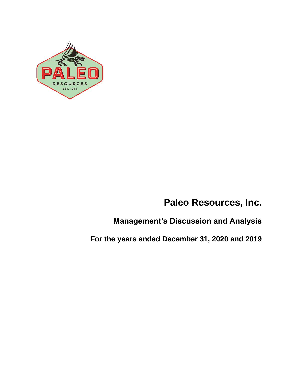

# **Paleo Resources, Inc.**

**Management's Discussion and Analysis**

**For the years ended December 31, 2020 and 2019**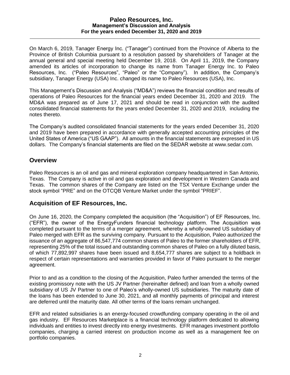On March 6, 2019, Tanager Energy Inc. ("Tanager") continued from the Province of Alberta to the Province of British Columbia pursuant to a resolution passed by shareholders of Tanager at the annual general and special meeting held December 19, 2018. On April 11, 2019, the Company amended its articles of incorporation to change its name from Tanager Energy Inc. to Paleo Resources, Inc. ("Paleo Resources", "Paleo" or the "Company"). In addition, the Company's subsidiary, Tanager Energy (USA) Inc. changed its name to Paleo Resources (USA), Inc.

This Management's Discussion and Analysis ("MD&A") reviews the financial condition and results of operations of Paleo Resources for the financial years ended December 31, 2020 and 2019. The MD&A was prepared as of June 17, 2021 and should be read in conjunction with the audited consolidated financial statements for the years ended December 31, 2020 and 2019, including the notes thereto.

The Company's audited consolidated financial statements for the years ended December 31, 2020 and 2019 have been prepared in accordance with generally accepted accounting principles of the United States of America ("US GAAP"). All amounts in the financial statements are expressed in US dollars. The Company's financial statements are filed on the SEDAR website at [www.sedar.com.](http://www.sedar.com/)

## **Overview**

Paleo Resources is an oil and gas and mineral exploration company headquartered in San Antonio, Texas. The Company is active in oil and gas exploration and development in Western Canada and Texas. The common shares of the Company are listed on the TSX Venture Exchange under the stock symbol "PRE" and on the OTCQB Venture Market under the symbol "PRIEF".

## **Acquisition of EF Resources, Inc.**

On June 16, 2020, the Company completed the acquisition (the "Acquisition") of EF Resources, Inc. ("EFR"), the owner of the EnergyFunders financial technology platform. The Acquisition was completed pursuant to the terms of a merger agreement, whereby a wholly-owned US subsidiary of Paleo merged with EFR as the surviving company. Pursuant to the Acquisition, Paleo authorized the issuance of an aggregate of 86,547,774 common shares of Paleo to the former shareholders of EFR, representing 25% of the total issued and outstanding common shares of Paleo on a fully diluted basis, of which 77,892,997 shares have been issued and 8,654,777 shares are subject to a holdback in respect of certain representations and warranties provided in favor of Paleo pursuant to the merger agreement.

Prior to and as a condition to the closing of the Acquisition, Paleo further amended the terms of the existing promissory note with the US JV Partner (hereinafter defined) and loan from a wholly owned subsidiary of US JV Partner to one of Paleo's wholly-owned US subsidiaries. The maturity date of the loans has been extended to June 30, 2021, and all monthly payments of principal and interest are deferred until the maturity date. All other terms of the loans remain unchanged.

EFR and related subsidiaries is an energy-focused crowdfunding company operating in the oil and gas industry. EF Resources Marketplace is a financial technology platform dedicated to allowing individuals and entities to invest directly into energy investments. EFR manages investment portfolio companies, charging a carried interest on production income as well as a management fee on portfolio companies.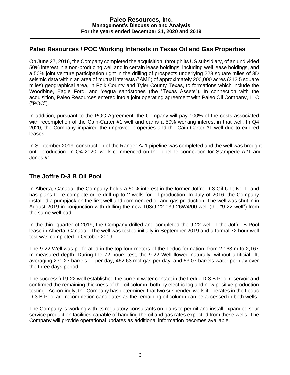# **Paleo Resources / POC Working Interests in Texas Oil and Gas Properties**

On June 27, 2016, the Company completed the acquisition, through its US subsidiary, of an undivided 50% interest in a non-producing well and in certain lease holdings, including well lease holdings, and a 50% joint venture participation right in the drilling of prospects underlying 223 square miles of 3D seismic data within an area of mutual interests ("AMI") of approximately 200,000 acres (312.5 square miles) geographical area, in Polk County and Tyler County Texas, to formations which include the Woodbine, Eagle Ford, and Yegua sandstones (the "Texas Assets"). In connection with the acquisition, Paleo Resources entered into a joint operating agreement with Paleo Oil Company, LLC ("POC").

In addition, pursuant to the POC Agreement, the Company will pay 100% of the costs associated with recompletion of the Cain-Carter #1 well and earns a 50% working interest in that well. In Q4 2020, the Company impaired the unproved properties and the Cain-Carter #1 well due to expired leases.

In September 2019, construction of the Ranger A#1 pipeline was completed and the well was brought onto production. In Q4 2020, work commenced on the pipeline connection for Stampede A#1 and Jones #1.

# **The Joffre D-3 B Oil Pool**

In Alberta, Canada, the Company holds a 50% interest in the former Joffre D-3 Oil Unit No 1, and has plans to re-complete or re-drill up to 2 wells for oil production. In July of 2016, the Company installed a pumpjack on the first well and commenced oil and gas production. The well was shut in in August 2019 in conjunction with drilling the new 103/9-22-039-26W4/00 well (the "9-22 well") from the same well pad.

In the third quarter of 2019, the Company drilled and completed the 9-22 well in the Joffre B Pool lease in Alberta, Canada. The well was tested initially in September 2019 and a formal 72 hour well test was completed in October 2019.

The 9-22 Well was perforated in the top four meters of the Leduc formation, from 2,163 m to 2,167 m measured depth. During the 72 hours test, the 9-22 Well flowed naturally, without artificial lift, averaging 231.27 barrels oil per day, 462.63 mcf gas per day, and 63.07 barrels water per day over the three days period.

The successful 9-22 well established the current water contact in the Leduc D-3 B Pool reservoir and confirmed the remaining thickness of the oil column, both by electric log and now positive production testing. Accordingly, the Company has determined that two suspended wells it operates in the Leduc D-3 B Pool are recompletion candidates as the remaining oil column can be accessed in both wells.

The Company is working with its regulatory consultants on plans to permit and install expanded sour service production facilities capable of handling the oil and gas rates expected from these wells. The Company will provide operational updates as additional information becomes available.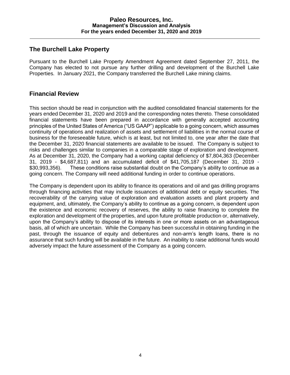## **The Burchell Lake Property**

Pursuant to the Burchell Lake Property Amendment Agreement dated September 27, 2011, the Company has elected to not pursue any further drilling and development of the Burchell Lake Properties. In January 2021, the Company transferred the Burchell Lake mining claims.

## **Financial Review**

This section should be read in conjunction with the audited consolidated financial statements for the years ended December 31, 2020 and 2019 and the corresponding notes thereto. These consolidated financial statements have been prepared in accordance with generally accepted accounting principles of the United States of America ("US GAAP") applicable to a going concern, which assumes continuity of operations and realization of assets and settlement of liabilities in the normal course of business for the foreseeable future, which is at least, but not limited to, one year after the date that the December 31, 2020 financial statements are available to be issued. The Company is subject to risks and challenges similar to companies in a comparable stage of exploration and development. As at December 31, 2020, the Company had a working capital deficiency of \$7,804,363 (December 31, 2019 - \$4,687,811) and an accumulated deficit of \$41,705,187 (December 31, 2019 - \$30,993,356). These conditions raise substantial doubt on the Company's ability to continue as a going concern. The Company will need additional funding in order to continue operations.

The Company is dependent upon its ability to finance its operations and oil and gas drilling programs through financing activities that may include issuances of additional debt or equity securities. The recoverability of the carrying value of exploration and evaluation assets and plant property and equipment, and, ultimately, the Company's ability to continue as a going concern, is dependent upon the existence and economic recovery of reserves, the ability to raise financing to complete the exploration and development of the properties, and upon future profitable production or, alternatively, upon the Company's ability to dispose of its interests in one or more assets on an advantageous basis, all of which are uncertain. While the Company has been successful in obtaining funding in the past, through the issuance of equity and debentures and non-arm's length loans, there is no assurance that such funding will be available in the future. An inability to raise additional funds would adversely impact the future assessment of the Company as a going concern.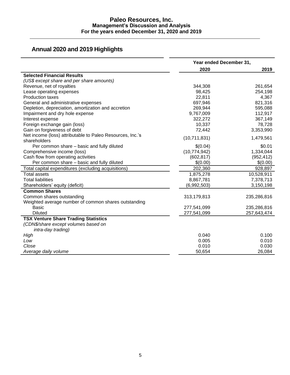# **Annual 2020 and 2019 Highlights**

|                                                           | Year ended December 31, |             |  |
|-----------------------------------------------------------|-------------------------|-------------|--|
|                                                           | 2020                    | 2019        |  |
| <b>Selected Financial Results</b>                         |                         |             |  |
| (US\$ except share and per share amounts)                 |                         |             |  |
| Revenue, net of royalties                                 | 344,308                 | 261,654     |  |
| Lease operating expenses                                  | 98,425                  | 254,198     |  |
| <b>Production taxes</b>                                   | 22,811                  | 4,367       |  |
| General and administrative expenses                       | 697,946                 | 821,316     |  |
| Depletion, depreciation, amortization and accretion       | 269,944                 | 595,088     |  |
| Impairment and dry hole expense                           | 9,767,009               | 112,917     |  |
| Interest expense                                          | 322,272                 | 367,149     |  |
| Foreign exchange gain (loss)                              | 10,337                  | 78,728      |  |
| Gain on forgiveness of debt                               | 72,442                  | 3,353,990   |  |
| Net income (loss) attributable to Paleo Resources, Inc.'s |                         |             |  |
| shareholders                                              | (10,711,831)            | 1,479,561   |  |
| Per common share - basic and fully diluted                | \$(0.04)                | \$0.01      |  |
| Comprehensive income (loss)                               | (10,774,942)            | 1,334,044   |  |
| Cash flow from operating activities                       | (602, 817)              | (952, 412)  |  |
| Per common share - basic and fully diluted                | \$(0.00)                | \$(0.00)    |  |
| Total capital expenditures (excluding acquisitions)       | 202,360                 | 928,897     |  |
| <b>Total assets</b>                                       | 1,875,278               | 10,528,911  |  |
| <b>Total liabilities</b>                                  | 8,867,781               | 7,378,713   |  |
| Shareholders' equity (deficit)                            | (6,992,503)             | 3,150,198   |  |
| <b>Common Shares</b>                                      |                         |             |  |
| Common shares outstanding                                 | 313,179,813             | 235,286,816 |  |
| Weighted average number of common shares outstanding      |                         |             |  |
| <b>Basic</b>                                              | 277,541,099             | 235,286,816 |  |
| <b>Diluted</b>                                            | 277,541,099             | 257,643,474 |  |
| <b>TSX Venture Share Trading Statistics</b>               |                         |             |  |
| (CDN\$/share except volumes based on                      |                         |             |  |
| intra-day trading)                                        |                         |             |  |
| High                                                      | 0.040                   | 0.100       |  |
| Low                                                       | 0.005                   | 0.010       |  |
| Close                                                     | 0.010                   | 0.030       |  |
| Average daily volume                                      | 50,654                  | 26,084      |  |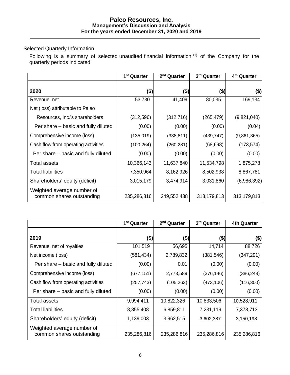## Selected Quarterly Information

Following is a summary of selected unaudited financial information  $(1)$  of the Company for the quarterly periods indicated:

|                                                         | 1 <sup>st</sup> Quarter | 2 <sup>nd</sup> Quarter | 3rd Quarter | 4 <sup>th</sup> Quarter |
|---------------------------------------------------------|-------------------------|-------------------------|-------------|-------------------------|
| 2020                                                    | \$)                     | (\$)                    | (\$)        | (\$)                    |
| Revenue, net                                            | 53,730                  | 41,409                  | 80,035      | 169,134                 |
| Net (loss) attributable to Paleo                        |                         |                         |             |                         |
| Resources, Inc.'s shareholders                          | (312, 596)              | (312, 716)              | (265, 479)  | (9,821,040)             |
| Per share – basic and fully diluted                     | (0.00)                  | (0.00)                  | (0.00)      | (0.04)                  |
| Comprehensive income (loss)                             | (135, 019)              | (338, 811)              | (439, 747)  | (9,861,365)             |
| Cash flow from operating activities                     | (100, 264)              | (260, 281)              | (68, 698)   | (173, 574)              |
| Per share – basic and fully diluted                     | (0.00)                  | (0.00)                  | (0.00)      | (0.00)                  |
| <b>Total assets</b>                                     | 10,366,143              | 11,637,840              | 11,534,798  | 1,875,278               |
| <b>Total liabilities</b>                                | 7,350,964               | 8,162,926               | 8,502,938   | 8,867,781               |
| Shareholders' equity (deficit)                          | 3,015,179               | 3,474,914               | 3,031,860   | (6,986,392)             |
| Weighted average number of<br>common shares outstanding | 235,286,816             | 249,552,438             | 313,179,813 | 313,179,813             |

|                                                         | 1 <sup>st</sup> Quarter | 2 <sup>nd</sup> Quarter | 3rd Quarter | <b>4th Quarter</b> |
|---------------------------------------------------------|-------------------------|-------------------------|-------------|--------------------|
| 2019                                                    | $($ \$)                 | (\$)                    | (\$)        | (\$)               |
| Revenue, net of royalties                               | 101,519                 | 56,695                  | 14,714      | 88,726             |
| Net income (loss)                                       | (581, 434)              | 2,789,832               | (381, 546)  | (347,291)          |
| Per share – basic and fully diluted                     | (0.00)                  | 0.01                    | (0.00)      | (0.00)             |
| Comprehensive income (loss)                             | (677, 151)              | 2,773,589               | (376, 146)  | (386,248)          |
| Cash flow from operating activities                     | (257, 743)              | (105, 263)              | (473, 106)  | (116,300)          |
| Per share – basic and fully diluted                     | (0.00)                  | (0.00)                  | (0.00)      | (0.00)             |
| Total assets                                            | 9,994,411               | 10,822,326              | 10,833,506  | 10,528,911         |
| <b>Total liabilities</b>                                | 8,855,408               | 6,859,811               | 7,231,119   | 7,378,713          |
| Shareholders' equity (deficit)                          | 1,139,003               | 3,962,515               | 3,602,387   | 3,150,198          |
| Weighted average number of<br>common shares outstanding | 235,286,816             | 235,286,816             | 235,286,816 | 235,286,816        |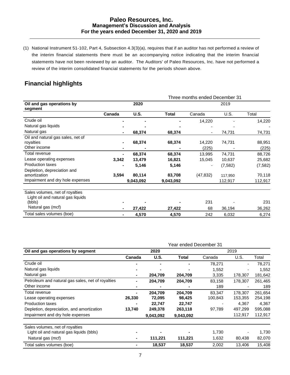(1) National Instrument 51‐102, Part 4, Subsection 4.3(3)(a), requires that if an auditor has not performed a review of the interim financial statements there must be an accompanying notice indicating that the interim financial statements have not been reviewed by an auditor. The Auditors' of Paleo Resources, Inc. have not performed a review of the interim consolidated financial statements for the periods shown above.

# **Financial highlights**

|                                                                                 | Three months ended December 31 |                     |                     |                 |                    |                   |  |
|---------------------------------------------------------------------------------|--------------------------------|---------------------|---------------------|-----------------|--------------------|-------------------|--|
| Oil and gas operations by<br>segment                                            | 2020                           |                     |                     | 2019            |                    |                   |  |
|                                                                                 | Canada                         | <b>U.S.</b>         | Total               | Canada          | U.S.               | Total             |  |
| Crude oil                                                                       |                                |                     |                     | 14,220          |                    | 14,220            |  |
| Natural gas liquids                                                             |                                |                     |                     |                 |                    |                   |  |
| Natural gas                                                                     |                                | 68,374              | 68,374              |                 | 74,731             | 74,731            |  |
| Oil and natural gas sales, net of<br>royalties<br>Other income                  |                                | 68,374              | 68,374              | 14,220<br>(225) | 74,731             | 88,951<br>(225)   |  |
| Total revenue                                                                   |                                | 68,374              | 68,374              | 13,995          | 74,731             | 88,726            |  |
| Lease operating expenses                                                        | 3,342                          | 13,479              | 16,821              | 15,045          | 10,637             | 25,682            |  |
| <b>Production taxes</b>                                                         |                                | 5,146               | 5,146               |                 | (7, 582)           | (7, 582)          |  |
| Depletion, depreciation and<br>amortization<br>Impairment and dry hole expenses | 3,594                          | 80,114<br>9,043,092 | 83,708<br>9,043,092 | (47, 832)       | 117,950<br>112,917 | 70,118<br>112,917 |  |
| Sales volumes, net of royalties<br>Light oil and natural gas liquids<br>(bbls)  |                                |                     |                     | 231             |                    | 231               |  |
| Natural gas (mcf)                                                               |                                | 27,422              | 27,422              | 68              | 36,194             | 36,262            |  |
| Total sales volumes (boe)                                                       |                                | 4,570               | 4,570               | 242             | 6,032              | 6,274             |  |

|                                                   | Year ended December 31 |           |              |         |         |         |
|---------------------------------------------------|------------------------|-----------|--------------|---------|---------|---------|
| Oil and gas operations by segment                 | 2020                   |           |              | 2019    |         |         |
|                                                   | Canada                 | U.S.      | <b>Total</b> | Canada  | U.S.    | Total   |
| Crude oil                                         |                        |           |              | 78,271  |         | 78.271  |
| Natural gas liquids                               |                        |           |              | 1,552   |         | 1,552   |
| Natural gas                                       |                        | 204,709   | 204,709      | 3,335   | 178,307 | 181,642 |
| Petroleum and natural gas sales, net of royalties |                        | 204,709   | 204,709      | 83,158  | 178,307 | 261,465 |
| Other income                                      |                        |           |              | 189     |         | 189     |
| Total revenue                                     |                        | 204,709   | 204,709      | 83.347  | 178,307 | 261,654 |
| Lease operating expenses                          | 26,330                 | 72,095    | 98,425       | 100,843 | 153,355 | 254,198 |
| <b>Production taxes</b>                           |                        | 22,747    | 22,747       |         | 4,367   | 4,367   |
| Depletion, depreciation, and amortization         | 13,740                 | 249,378   | 263,118      | 97,789  | 497,299 | 595,088 |
| Impairment and dry hole expenses                  |                        | 9,043,092 | 9,043,092    |         | 112,917 | 112,917 |
| Sales volumes, net of royalties                   |                        |           |              |         |         |         |
| Light oil and natural gas liquids (bbls)          |                        |           |              | 1,730   |         | 1,730   |
| Natural gas (mcf)                                 |                        | 111,221   | 111,221      | 1,632   | 80,438  | 82,070  |
| Total sales volumes (boe)                         | ۰.                     | 18,537    | 18,537       | 2,002   | 13,406  | 15,408  |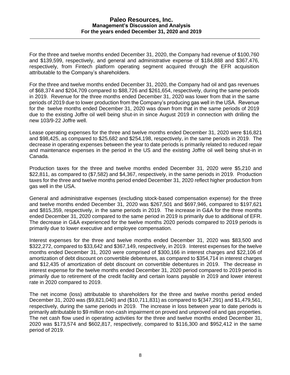For the three and twelve months ended December 31, 2020, the Company had revenue of \$100,760 and \$139,599, respectively, and general and administrative expense of \$184,888 and \$367,476, respectively, from Fintech platform operating segment acquired through the EFR acquisition attributable to the Company's shareholders.

For the three and twelve months ended December 31, 2020, the Company had oil and gas revenues of \$68,374 and \$204,709 compared to \$88,726 and \$261,654, respectively, during the same periods in 2019. Revenue for the three months ended December 31, 2020 was lower from that in the same periods of 2019 due to lower production from the Company's producing gas well in the USA. Revenue for the twelve months ended December 31, 2020 was down from that in the same periods of 2019 due to the existing Joffre oil well being shut-in in since August 2019 in connection with drilling the new 103/9-22 Joffre well.

Lease operating expenses for the three and twelve months ended December 31, 2020 were \$16,821 and \$98,425, as compared to \$25,682 and \$254,198, respectively, in the same periods in 2019. The decrease in operating expenses between the year to date periods is primarily related to reduced repair and maintenance expenses in the period in the US and the existing Joffre oil well being shut-in in Canada.

Production taxes for the three and twelve months ended December 31, 2020 were \$5,210 and \$22,811, as compared to (\$7,582) and \$4,367, respectively, in the same periods in 2019. Production taxes for the three and twelve months period ended December 31, 2020 reflect higher production from gas well in the USA.

General and administrative expenses (excluding stock-based compensation expense) for the three and twelve months ended December 31, 2020 was \$267,501 and \$697,946, compared to \$197,621 and \$815,359, respectively, in the same periods in 2019. The increase in G&A for the three months ended December 31, 2020 compared to the same period in 2019 is primarily due to additional of EFR. The decrease in G&A experienced for the twelve months 2020 periods compared to 2019 periods is primarily due to lower executive and employee compensation.

Interest expenses for the three and twelve months ended December 31, 2020 was \$83,500 and \$322,272, compared to \$33,642 and \$367,149, respectively, in 2019. Interest expenses for the twelve months ended December 31, 2020 were comprised of \$300,166 in interest charges and \$22,106 of amortization of debt discount on convertible debentures, as compared to \$354,714 in interest charges and \$12,435 of amortization of debt discount on convertible debentures in 2019. The decrease in interest expense for the twelve months ended December 31, 2020 period compared to 2019 period is primarily due to retirement of the credit facility and certain loans payable in 2019 and lower interest rate in 2020 compared to 2019.

The net income (loss) attributable to shareholders for the three and twelve months period ended December 31, 2020 was (\$9,821,040) and (\$10,711,831) as compared to \$(347,291) and \$1,479,561, respectively, during the same periods in 2019. The increase in loss between year to date periods is primarily attributable to \$9 million non-cash impairment on proved and unproved oil and gas properties. The net cash flow used in operating activities for the three and twelve months ended December 31, 2020 was \$173,574 and \$602,817, respectively, compared to \$116,300 and \$952,412 in the same period of 2019.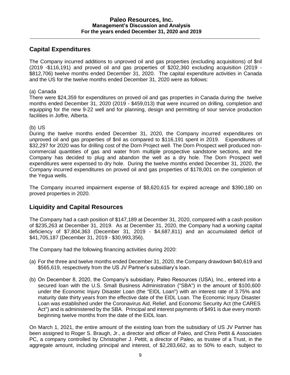# **Capital Expenditures**

The Company incurred additions to unproved oil and gas properties (excluding acquisitions) of \$nil (2019 -\$116,191) and proved oil and gas properties of \$202,360 excluding acquisition (2019 - \$812,706) twelve months ended December 31, 2020. The capital expenditure activities in Canada and the US for the twelve months ended December 31, 2020 were as follows:

#### (a) Canada

There were \$24,359 for expenditures on proved oil and gas properties in Canada during the twelve months ended December 31, 2020 (2019 - \$459,013) that were incurred on drilling, completion and equipping for the new 9-22 well and for planning, design and permitting of sour service production facilities in Joffre, Alberta.

### (b) US

During the twelve months ended December 31, 2020, the Company incurred expenditures on unproved oil and gas properties of \$nil as compared to \$116,191 spent in 2019. Expenditures of \$32,297 for 2020 was for drilling cost of the Dorn Project well. The Dorn Prospect well produced noncommercial quantities of gas and water from multiple prospective sandstone sections, and the Company has decided to plug and abandon the well as a dry hole. The Dorn Prospect well expenditures were expensed to dry hole. During the twelve months ended December 31, 2020, the Company incurred expenditures on proved oil and gas properties of \$178,001 on the completion of the Yegua wells.

The Company incurred impairment expense of \$8,620,615 for expired acreage and \$390,180 on proved properties in 2020.

## **Liquidity and Capital Resources**

The Company had a cash position of \$147,189 at December 31, 2020, compared with a cash position of \$235,263 at December 31, 2019. As at December 31, 2020, the Company had a working capital deficiency of \$7,804,363 (December 31, 2019 - \$4,687,811) and an accumulated deficit of \$41,705,187 (December 31, 2019 - \$30,993,356).

The Company had the following financing activities during 2020:

- (a) For the three and twelve months ended December 31, 2020, the Company drawdown \$40,619 and \$565,619, respectively from the US JV Partner's subsidiary's loan.
- (b) On December 8, 2020, the Company's subsidiary, Paleo Resources (USA), Inc., entered into a secured loan with the U.S. Small Business Administration ("SBA") in the amount of \$100,600 under the Economic Injury Disaster Loan (the "EIDL Loan") with an interest rate of 3.75% and maturity date thirty years from the effective date of the EIDL Loan. The Economic Injury Disaster Loan was established under the Coronavirus Aid, Relief, and Economic Security Act (the CARES Act") and is administered by the SBA. Principal and interest payments of \$491 is due every month beginning twelve months from the date of the EIDL loan.

On March 1, 2021, the entire amount of the existing loan from the subsidiary of US JV Partner has been assigned to Roger S. Braugh, Jr., a director and officer of Paleo, and Chris Pettit & Associates PC, a company controlled by Christopher J. Pettit, a director of Paleo, as trustee of a Trust, in the aggregate amount, including principal and interest, of \$2,283,662, as to 50% to each, subject to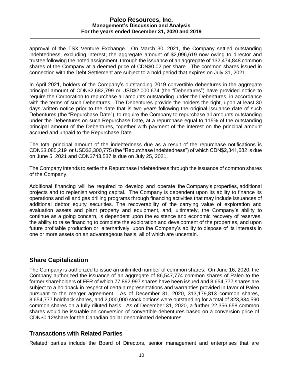approval of the TSX Venture Exchange. On March 30, 2021, the Company settled outstanding indebtedness, excluding interest, the aggregate amount of \$2,096,619 now owing to director and trustee following the noted assignment, through the issuance of an aggregate of 132,474,848 common shares of the Company at a deemed price of CDN\$0.02 per share. The common shares issued in connection with the Debt Settlement are subject to a hold period that expires on July 31, 2021.

In April 2021, holders of the Company's outstanding 2019 convertible debentures in the aggregate principal amount of CDN\$2,682,799 or USD\$2,000,674 (the "Debentures") have provided notice to require the Corporation to repurchase all amounts outstanding under the Debentures, in accordance with the terms of such Debentures. The Debentures provide the holders the right, upon at least 30 days written notice prior to the date that is two years following the original issuance date of such Debentures (the "Repurchase Date"), to require the Company to repurchase all amounts outstanding under the Debentures on such Repurchase Date, at a repurchase equal to 115% of the outstanding principal amount of the Debentures, together with payment of the interest on the principal amount accrued and unpaid to the Repurchase Date.

The total principal amount of the indebtedness due as a result of the repurchase notifications is CDN\$3,085,219 or USD\$2,300,775 (the "Repurchase Indebtedness") of which CDN\$2,341,682 is due on June 5, 2021 and CDN\$743,537 is due on July 25, 2021.

The Company intends to settle the Repurchase Indebtedness through the issuance of common shares of the Company.

Additional financing will be required to develop and operate the Company's properties, additional projects and to replenish working capital. The Company is dependent upon its ability to finance its operations and oil and gas drilling programs through financing activities that may include issuances of additional debtor equity securities. The recoverability of the carrying value of exploration and evaluation assets and plant property and equipment, and, ultimately, the Company's ability to continue as a going concern, is dependent upon the existence and economic recovery of reserves, the ability to raise financing to complete the exploration and development of the properties, and upon future profitable production or, alternatively, upon the Company's ability to dispose of its interests in one or more assets on an advantageous basis, all of which are uncertain.

## **Share Capitalization**

The Company is authorized to issue an unlimited number of common shares. On June 16, 2020, the Company authorized the issuance of an aggregate of 86,547,774 common shares of Paleo to the former shareholders of EFR of which 77,892,997 shares have been issued and 8,654,777 shares are subject to a holdback in respect of certain representations and warranties provided in favor of Paleo pursuant to the merger agreement. As of December 31, 2020, 313,179,813 common shares, 8,654,777 holdback shares, and 2,000,000 stock options were outstanding for a total of 323,834,590 common shares on a fully diluted basis. As of December 31, 2020, a further 22,356,658 common shares would be issuable on conversion of convertible debentures based on a conversion price of CDN\$0.12/share for the Canadian dollar denominated debentures.

## **Transactions with Related Parties**

Related parties include the Board of Directors, senior management and enterprises that are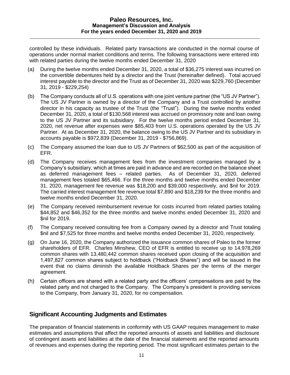controlled by these individuals. Related party transactions are conducted in the normal course of operations under normal market conditions and terms. The following transactions were entered into with related parties during the twelve months ended December 31, 2020

- (a) During the twelve months ended December 31, 2020, a total of \$36,275 interest was incurred on the convertible debentures held by a director and the Trust (hereinafter defined). Total accrued interest payable to the director and the Trust as of December 31, 2020 was \$229,760 (December 31, 2019 - \$229,254)
- (b) The Company conducts all of U.S. operations with one joint venture partner (the "US JV Partner"). The US JV Partner is owned by a director of the Company and a Trust controlled by another director in his capacity as trustee of the Trust (the "Trust"). During the twelve months ended December 31, 2020, a total of \$130,568 interest was accrued on promissory note and loan owing to the US JV Partner and its subsidiary. For the twelve months period ended December 31, 2020, net revenue after expenses were \$85,403 from U.S. operations operated by the US JV Partner. At as December 31, 2020, the balance owing to the US JV Partner and its subsidiary in accounts payable is \$972,839 (December 31, 2019 - \$756,869).
- (c) The Company assumed the loan due to US JV Partners of \$62,500 as part of the acquisition of EFR.
- (d) The Company receives management fees from the investment companies managed by a Company's subsidiary, which at times are paid in advance and are recorded on the balance sheet as deferred management fees – related parties. As of December 31, 2020, deferred management fees totaled \$65,466. For the three months and twelve months ended December 31, 2020, management fee revenue was \$18,200 and \$39,000 respectively, and \$nil for 2019. The carried interest management fee revenue total \$7,890 and \$18,239 for the three months and twelve months ended December 31, 2020.
- (e) The Company received reimbursement revenue for costs incurred from related parties totaling \$44,852 and \$46,352 for the three months and twelve months ended December 31, 2020 and \$nil for 2019.
- (f) The Company received consulting fee from a Company owned by a director and Trust totaling \$nil and \$7,525 for three months and twelve months ended December 31, 2020, respectively.
- (g) On June 16, 2020, the Company authorized the issuance common shares of Paleo to the former shareholders of EFR. Charles Minshew, CEO of EFR is entitled to receive up to 14,978,269 common shares with 13,480,442 common shares received upon closing of the acquisition and 1,497,827 common shares subject to holdback ("Holdback Shares") and will be issued in the event that no claims diminish the available Holdback Shares per the terms of the merger agreement.
- (h) Certain officers are shared with a related party and the officers' compensations are paid by the related party and not charged to the Company. The Company's president is providing services to the Company, from January 31, 2020, for no compensation.

## **Significant Accounting Judgments and Estimates**

The preparation of financial statements in conformity with US GAAP requires management to make estimates and assumptions that affect the reported amounts of assets and liabilities and disclosure of contingent assets and liabilities at the date of the financial statements and the reported amounts of revenues and expenses during the reporting period. The most significant estimates pertain to the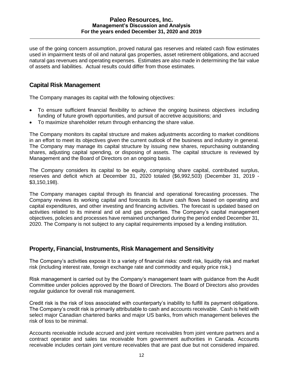use of the going concern assumption, proved natural gas reserves and related cash flow estimates used in impairment tests of oil and natural gas properties, asset retirement obligations, and accrued natural gas revenues and operating expenses. Estimates are also made in determining the fair value of assets and liabilities. Actual results could differ from those estimates.

## **Capital Risk Management**

The Company manages its capital with the following objectives:

- To ensure sufficient financial flexibility to achieve the ongoing business objectives including funding of future growth opportunities, and pursuit of accretive acquisitions; and
- To maximize shareholder return through enhancing the share value.

The Company monitors its capital structure and makes adjustments according to market conditions in an effort to meet its objectives given the current outlook of the business and industry in general. The Company may manage its capital structure by issuing new shares, repurchasing outstanding shares, adjusting capital spending, or disposing of assets. The capital structure is reviewed by Management and the Board of Directors on an ongoing basis.

The Company considers its capital to be equity, comprising share capital, contributed surplus, reserves and deficit which at December 31, 2020 totaled (\$6,992,503) (December 31, 2019 - \$3,150,198).

The Company manages capital through its financial and operational forecasting processes. The Company reviews its working capital and forecasts its future cash flows based on operating and capital expenditures, and other investing and financing activities. The forecast is updated based on activities related to its mineral and oil and gas properties. The Company's capital management objectives, policies and processes have remained unchanged during the period ended December 31, 2020. The Company is not subject to any capital requirements imposed by a lending institution.

## **Property, Financial, Instruments, Risk Management and Sensitivity**

The Company's activities expose it to a variety of financial risks: credit risk, liquidity risk and market risk (including interest rate, foreign exchange rate and commodity and equity price risk.)

Risk management is carried out by the Company's management team with guidance from the Audit Committee under policies approved by the Board of Directors. The Board of Directors also provides regular guidance for overall risk management.

Credit risk is the risk of loss associated with counterparty's inability to fulfill its payment obligations. The Company's credit risk is primarily attributable to cash and accounts receivable. Cash is held with select major Canadian chartered banks and major US banks, from which management believes the risk of loss to be minimal.

Accounts receivable include accrued and joint venture receivables from joint venture partners and a contract operator and sales tax receivable from government authorities in Canada. Accounts receivable includes certain joint venture receivables that are past due but not considered impaired.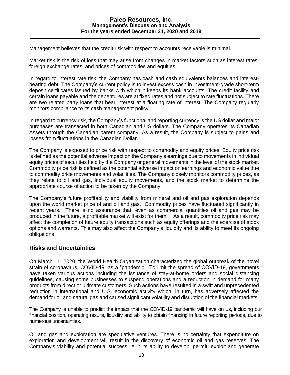Management believes that the credit risk with respect to accounts receivable is minimal.

Market risk is the risk of loss that may arise from changes in market factors such as interest rates, foreign exchange rates, and prices of commodities and equities.

In regard to interest rate risk, the Company has cash and cash equivalents balances and interestbearing debt. The Company's current policy is to invest excess cash in investment-grade short-term deposit certificates issued by banks with which it keeps its bank accounts. The credit facility and certain loans payable and the debentures are at fixed rates and not subject to rate fluctuations. There are two related party loans that bear interest at a floating rate of interest. The Company regularly monitors compliance to its cash management policy.

In regard to currency risk, the Company's functional and reporting currency is the US dollar and major purchases are transacted in both Canadian and US dollars. The Company operates its Canadian Assets through the Canadian parent company. As a result, the Company is subject to gains and losses from fluctuations in the Canadian Dollar.

The Company is exposed to price risk with respect to commodity and equity prices. Equity price risk is defined as the potential adverse impact on the Company's earnings due to movements in individual equity prices of securities held by the Company or general movements in the level of the stock market. Commodity price risk is defined as the potential adverse impact on earnings and economic value due to commodity price movements and volatilities. The Company closely monitors commodity prices, as they relate to oil and gas, individual equity movements, and the stock market to determine the appropriate course of action to be taken by the Company.

The Company's future profitability and viability from mineral and oil and gas exploration depends upon the world market price of and oil and gas. Commodity prices have fluctuated significantly in recent years. There is no assurance that, even as commercial quantities oil and gas may be produced in the future, a profitable market will exist for them. As a result, commodity price risk may affect the completion of future equity transactions such as equity offerings and the exercise of stock options and warrants. This may also affect the Company's liquidity and its ability to meet its ongoing obligations.

## **Risks and Uncertainties**

On March 11, 2020, the World Health Organization characterized the global outbreak of the novel strain of coronavirus, COVID-19, as a "pandemic." To limit the spread of COVID-19, governments have taken various actions including the issuance of stay-at-home orders and social distancing guidelines, causing some businesses to suspend operations and a reduction in demand for many products from direct or ultimate customers. Such actions have resulted in a swift and unprecedented reduction in international and U.S. economic activity which, in turn, has adversely affected the demand for oil and natural gas and caused significant volatility and disruption of the financial markets.

The Company is unable to predict the impact that the COVID-19 pandemic will have on us, including our financial position, operating results, liquidity and ability to obtain financing in future reporting periods, due to numerous uncertainties.

Oil and gas and exploration are speculative ventures. There is no certainty that expenditure on exploration and development will result in the discovery of economic oil and gas reserves. The Company's viability and potential success lie in its ability to develop, permit, exploit and generate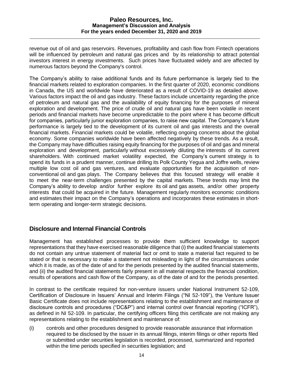revenue out of oil and gas reservoirs. Revenues, profitability and cash flow from Fintech operations will be influenced by petroleum and natural gas prices and by its relationship to attract potential investors interest in energy investments. Such prices have fluctuated widely and are affected by numerous factors beyond the Company's control.

The Company's ability to raise additional funds and its future performance is largely tied to the financial markets related to exploration companies. In the first quarter of 2020, economic conditions in Canada, the US and worldwide have deteriorated as a result of COVID-19 as detailed above. Various factors impact the oil and gas industry. These factors include uncertainty regarding the price of petroleum and natural gas and the availability of equity financing for the purposes of mineral exploration and development. The price of crude oil and natural gas have been volatile in recent periods and financial markets have become unpredictable to the point where it has become difficult for companies, particularly junior exploration companies, to raise new capital. The Company's future performance is largely tied to the development of its current oil and gas interests and the overall financial markets. Financial markets could be volatile, reflecting ongoing concerns about the global economy. Some companies worldwide have been affected negatively by these trends. As a result, the Company may have difficulties raising equity financing for the purposes of oil and gas and mineral exploration and development, particularly without excessively diluting the interests of its current shareholders. With continued market volatility expected, the Company's current strategy is to spend its funds in a prudent manner, continue drilling its Polk County Yegua and Joffre wells, review multiple low cost oil and gas ventures, and evaluate opportunities for the acquisition of nonconventional oil and gas plays. The Company believes that this focused strategy will enable it to meet the near-term challenges presented by the capital markets. These trends may limit the Company's ability to develop and/or further explore its oil and gas assets, and/or other property interests that could be acquired in the future. Management regularly monitors economic conditions and estimates their impact on the Company's operations and incorporates these estimates in shortterm operating and longer-term strategic decisions.

## **Disclosure and Internal Financial Controls**

Management has established processes to provide them sufficient knowledge to support representations that they have exercised reasonable diligence that (i) the audited financial statements do not contain any untrue statement of material fact or omit to state a material fact required to be stated or that is necessary to make a statement not misleading in light of the circumstances under which it is made, as of the date of and for the periods presented by the audited financial statements, and (ii) the audited financial statements fairly present in all material respects the financial condition, results of operations and cash flow of the Company, as of the date of and for the periods presented.

In contrast to the certificate required for non-venture issuers under National Instrument 52-109, Certification of Disclosure in Issuers' Annual and Interim Filings ("NI 52-109"), the Venture Issuer Basic Certificate does not include representations relating to the establishment and maintenance of disclosure controls and procedures ("DC&P") and internal control over financial reporting ("ICFR"), as defined in NI 52-109. In particular, the certifying officers filing this certificate are not making any representations relating to the establishment and maintenance of:

(i) controls and other procedures designed to provide reasonable assurance that information required to be disclosed by the issuer in its annual filings, interim filings or other reports filed or submitted under securities legislation is recorded, processed, summarized and reported within the time periods specified in securities legislation; and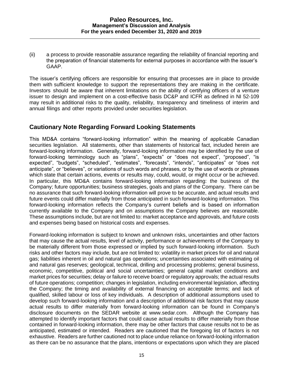(ii) a process to provide reasonable assurance regarding the reliability of financial reporting and the preparation of financial statements for external purposes in accordance with the issuer's GAAP.

The issuer's certifying officers are responsible for ensuring that processes are in place to provide them with sufficient knowledge to support the representations they are making in the certificate. Investors should be aware that inherent limitations on the ability of certifying officers of a venture issuer to design and implement on a cost-effective basis DC&P and ICFR as defined in NI 52-109 may result in additional risks to the quality, reliability, transparency and timeliness of interim and annual filings and other reports provided under securities legislation.

# **Cautionary Note Regarding Forward Looking Statements**

This MD&A contains "forward-looking information" within the meaning of applicable Canadian securities legislation. All statements, other than statements of historical fact, included herein are forward-looking information. Generally, forward-looking information may be identified by the use of forward-looking terminology such as "plans", "expects" or "does not expect", "proposed", "is expected", "budgets", "scheduled", "estimates", "forecasts", "intends", "anticipates" or "does not anticipate", or "believes", or variations of such words and phrases, or by the use of words or phrases which state that certain actions, events or results may, could, would, or might occur or be achieved. In particular, this MD&A contains forward-looking information regarding: the business of the Company; future opportunities; business strategies, goals and plans of the Company. There can be no assurance that such forward-looking information will prove to be accurate, and actual results and future events could differ materially from those anticipated in such forward-looking information. This forward-looking information reflects the Company's current beliefs and is based on information currently available to the Company and on assumptions the Company believes are reasonable. These assumptions include, but are not limited to: market acceptance and approvals, and future costs and expenses being based on historical costs and expenses.

Forward-looking information is subject to known and unknown risks, uncertainties and other factors that may cause the actual results, level of activity, performance or achievements of the Company to be materially different from those expressed or implied by such forward-looking information. Such risks and other factors may include, but are not limited to: volatility in market prices for oil and natural gas; liabilities inherent in oil and natural gas operations; uncertainties associated with estimating oil and natural gas reserves; geological, technical, drilling and processing problems; general business, economic, competitive, political and social uncertainties; general capital market conditions and market prices for securities; delay or failure to receive board or regulatory approvals; the actual results of future operations; competition; changes in legislation, including environmental legislation, affecting the Company; the timing and availability of external financing on acceptable terms; and lack of qualified, skilled labour or loss of key individuals. A description of additional assumptions used to develop such forward-looking information and a description of additional risk factors that may cause actual results to differ materially from forward-looking information can be found in Company's disclosure documents on the SEDAR website at www.sedar.com. Although the Company has attempted to identify important factors that could cause actual results to differ materially from those contained in forward-looking information, there may be other factors that cause results not to be as anticipated, estimated or intended. Readers are cautioned that the foregoing list of factors is not exhaustive. Readers are further cautioned not to place undue reliance on forward-looking information as there can be no assurance that the plans, intentions or expectations upon which they are placed